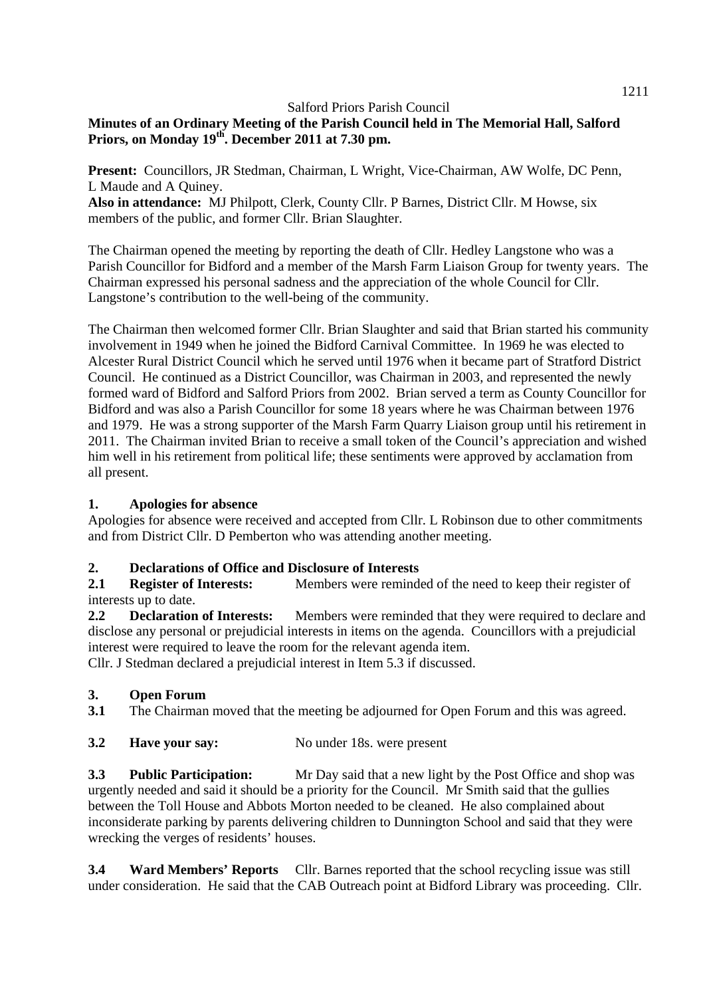# **Minutes of an Ordinary Meeting of the Parish Council held in The Memorial Hall, Salford Priors, on Monday 19th. December 2011 at 7.30 pm.**

**Present:** Councillors, JR Stedman, Chairman, L Wright, Vice-Chairman, AW Wolfe, DC Penn, L Maude and A Quiney.

Also in attendance: MJ Philpott, Clerk, County Cllr. P Barnes, District Cllr. M Howse, six members of the public, and former Cllr. Brian Slaughter.

The Chairman opened the meeting by reporting the death of Cllr. Hedley Langstone who was a Parish Councillor for Bidford and a member of the Marsh Farm Liaison Group for twenty years. The Chairman expressed his personal sadness and the appreciation of the whole Council for Cllr. Langstone's contribution to the well-being of the community.

The Chairman then welcomed former Cllr. Brian Slaughter and said that Brian started his community involvement in 1949 when he joined the Bidford Carnival Committee. In 1969 he was elected to Alcester Rural District Council which he served until 1976 when it became part of Stratford District Council. He continued as a District Councillor, was Chairman in 2003, and represented the newly formed ward of Bidford and Salford Priors from 2002. Brian served a term as County Councillor for Bidford and was also a Parish Councillor for some 18 years where he was Chairman between 1976 and 1979. He was a strong supporter of the Marsh Farm Quarry Liaison group until his retirement in 2011. The Chairman invited Brian to receive a small token of the Council's appreciation and wished him well in his retirement from political life; these sentiments were approved by acclamation from all present.

### **1. Apologies for absence**

Apologies for absence were received and accepted from Cllr. L Robinson due to other commitments and from District Cllr. D Pemberton who was attending another meeting.

# **2. Declarations of Office and Disclosure of Interests**

2.1 **Register of Interests:** Members were reminded of the need to keep their register of interests up to date.

**2.2 Declaration of Interests:** Members were reminded that they were required to declare and disclose any personal or prejudicial interests in items on the agenda. Councillors with a prejudicial interest were required to leave the room for the relevant agenda item.

Cllr. J Stedman declared a prejudicial interest in Item 5.3 if discussed.

### **3. Open Forum**

**3.1** The Chairman moved that the meeting be adjourned for Open Forum and this was agreed.

### **3.2** Have your say: No under 18s. were present

**3.3 Public Participation:** Mr Day said that a new light by the Post Office and shop was urgently needed and said it should be a priority for the Council. Mr Smith said that the gullies between the Toll House and Abbots Morton needed to be cleaned. He also complained about inconsiderate parking by parents delivering children to Dunnington School and said that they were wrecking the verges of residents' houses.

**3.4 Ward Members' Reports** Cllr. Barnes reported that the school recycling issue was still under consideration. He said that the CAB Outreach point at Bidford Library was proceeding. Cllr.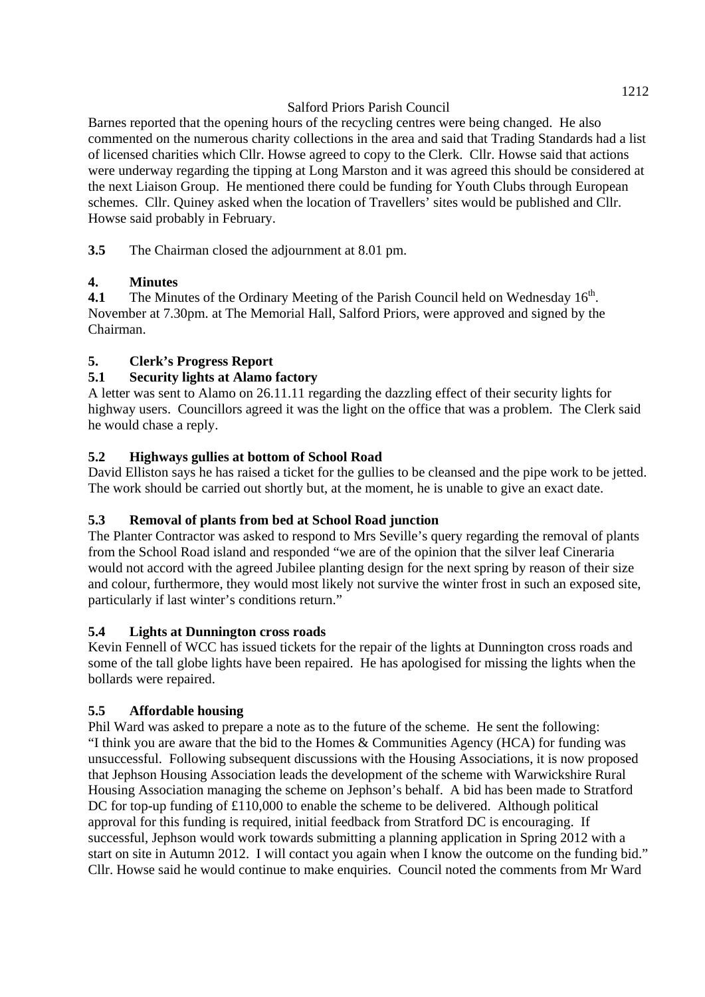Barnes reported that the opening hours of the recycling centres were being changed. He also commented on the numerous charity collections in the area and said that Trading Standards had a list of licensed charities which Cllr. Howse agreed to copy to the Clerk. Cllr. Howse said that actions were underway regarding the tipping at Long Marston and it was agreed this should be considered at the next Liaison Group. He mentioned there could be funding for Youth Clubs through European schemes. Cllr. Quiney asked when the location of Travellers' sites would be published and Cllr. Howse said probably in February.

**3.5** The Chairman closed the adjournment at 8.01 pm.

# **4. Minutes**

**4.1** The Minutes of the Ordinary Meeting of the Parish Council held on Wednesday 16<sup>th</sup>. November at 7.30pm. at The Memorial Hall, Salford Priors, were approved and signed by the Chairman.

# **5. Clerk's Progress Report**

# **5.1 Security lights at Alamo factory**

A letter was sent to Alamo on 26.11.11 regarding the dazzling effect of their security lights for highway users. Councillors agreed it was the light on the office that was a problem. The Clerk said he would chase a reply.

# **5.2 Highways gullies at bottom of School Road**

David Elliston says he has raised a ticket for the gullies to be cleansed and the pipe work to be jetted. The work should be carried out shortly but, at the moment, he is unable to give an exact date.

# **5.3 Removal of plants from bed at School Road junction**

The Planter Contractor was asked to respond to Mrs Seville's query regarding the removal of plants from the School Road island and responded "we are of the opinion that the silver leaf Cineraria would not accord with the agreed Jubilee planting design for the next spring by reason of their size and colour, furthermore, they would most likely not survive the winter frost in such an exposed site, particularly if last winter's conditions return."

# **5.4 Lights at Dunnington cross roads**

Kevin Fennell of WCC has issued tickets for the repair of the lights at Dunnington cross roads and some of the tall globe lights have been repaired. He has apologised for missing the lights when the bollards were repaired.

# **5.5 Affordable housing**

Phil Ward was asked to prepare a note as to the future of the scheme. He sent the following: "I think you are aware that the bid to the Homes & Communities Agency (HCA) for funding was unsuccessful. Following subsequent discussions with the Housing Associations, it is now proposed that Jephson Housing Association leads the development of the scheme with Warwickshire Rural Housing Association managing the scheme on Jephson's behalf. A bid has been made to Stratford DC for top-up funding of £110,000 to enable the scheme to be delivered. Although political approval for this funding is required, initial feedback from Stratford DC is encouraging. If successful, Jephson would work towards submitting a planning application in Spring 2012 with a start on site in Autumn 2012. I will contact you again when I know the outcome on the funding bid." Cllr. Howse said he would continue to make enquiries. Council noted the comments from Mr Ward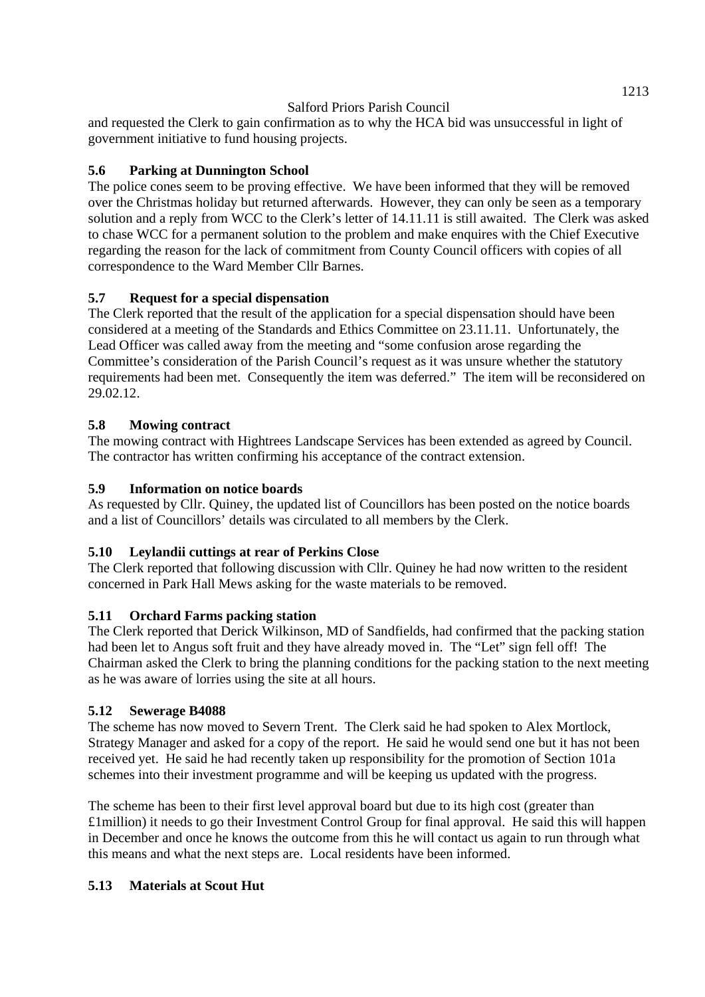and requested the Clerk to gain confirmation as to why the HCA bid was unsuccessful in light of government initiative to fund housing projects.

# **5.6 Parking at Dunnington School**

The police cones seem to be proving effective. We have been informed that they will be removed over the Christmas holiday but returned afterwards. However, they can only be seen as a temporary solution and a reply from WCC to the Clerk's letter of 14.11.11 is still awaited. The Clerk was asked to chase WCC for a permanent solution to the problem and make enquires with the Chief Executive regarding the reason for the lack of commitment from County Council officers with copies of all correspondence to the Ward Member Cllr Barnes.

# **5.7 Request for a special dispensation**

The Clerk reported that the result of the application for a special dispensation should have been considered at a meeting of the Standards and Ethics Committee on 23.11.11. Unfortunately, the Lead Officer was called away from the meeting and "some confusion arose regarding the Committee's consideration of the Parish Council's request as it was unsure whether the statutory requirements had been met. Consequently the item was deferred." The item will be reconsidered on 29.02.12.

# **5.8 Mowing contract**

The mowing contract with Hightrees Landscape Services has been extended as agreed by Council. The contractor has written confirming his acceptance of the contract extension.

# **5.9 Information on notice boards**

As requested by Cllr. Quiney, the updated list of Councillors has been posted on the notice boards and a list of Councillors' details was circulated to all members by the Clerk.

# **5.10 Leylandii cuttings at rear of Perkins Close**

The Clerk reported that following discussion with Cllr. Quiney he had now written to the resident concerned in Park Hall Mews asking for the waste materials to be removed.

# **5.11 Orchard Farms packing station**

The Clerk reported that Derick Wilkinson, MD of Sandfields, had confirmed that the packing station had been let to Angus soft fruit and they have already moved in. The "Let" sign fell off! The Chairman asked the Clerk to bring the planning conditions for the packing station to the next meeting as he was aware of lorries using the site at all hours.

# **5.12 Sewerage B4088**

The scheme has now moved to Severn Trent. The Clerk said he had spoken to Alex Mortlock, Strategy Manager and asked for a copy of the report. He said he would send one but it has not been received yet. He said he had recently taken up responsibility for the promotion of Section 101a schemes into their investment programme and will be keeping us updated with the progress.

The scheme has been to their first level approval board but due to its high cost (greater than £1million) it needs to go their Investment Control Group for final approval. He said this will happen in December and once he knows the outcome from this he will contact us again to run through what this means and what the next steps are. Local residents have been informed.

# **5.13 Materials at Scout Hut**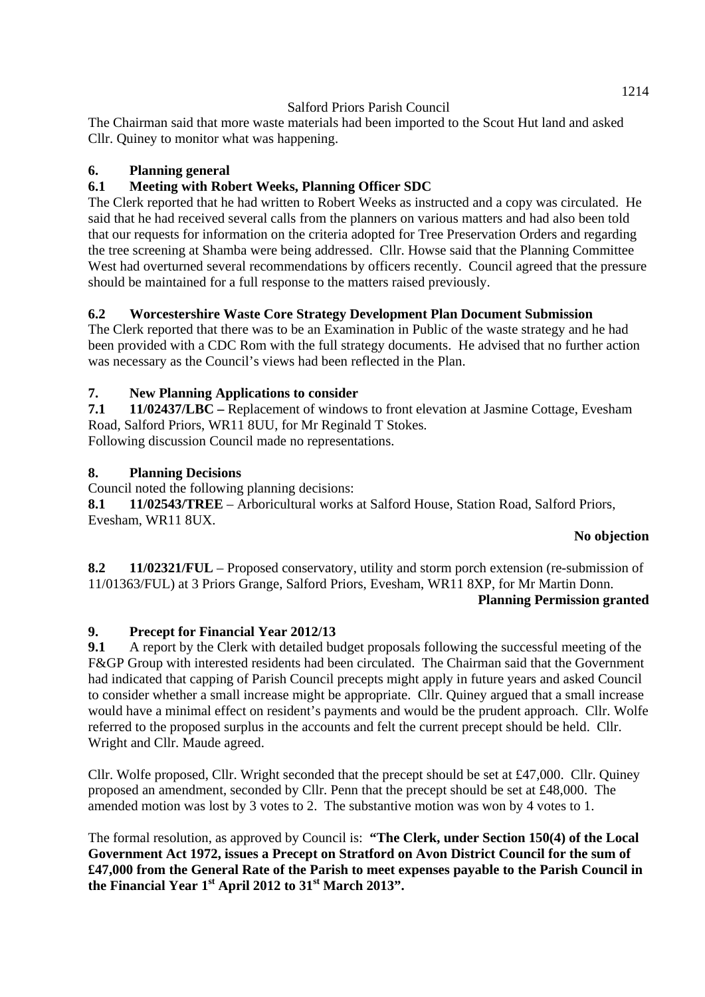The Chairman said that more waste materials had been imported to the Scout Hut land and asked Cllr. Quiney to monitor what was happening.

## **6. Planning general**

# **6.1 Meeting with Robert Weeks, Planning Officer SDC**

The Clerk reported that he had written to Robert Weeks as instructed and a copy was circulated. He said that he had received several calls from the planners on various matters and had also been told that our requests for information on the criteria adopted for Tree Preservation Orders and regarding the tree screening at Shamba were being addressed. Cllr. Howse said that the Planning Committee West had overturned several recommendations by officers recently. Council agreed that the pressure should be maintained for a full response to the matters raised previously.

## **6.2 Worcestershire Waste Core Strategy Development Plan Document Submission**

The Clerk reported that there was to be an Examination in Public of the waste strategy and he had been provided with a CDC Rom with the full strategy documents. He advised that no further action was necessary as the Council's views had been reflected in the Plan.

## **7. New Planning Applications to consider**

**7.1 11/02437/LBC –** Replacement of windows to front elevation at Jasmine Cottage, Evesham Road, Salford Priors, WR11 8UU, for Mr Reginald T Stokes. Following discussion Council made no representations.

## **8. Planning Decisions**

Council noted the following planning decisions:

**8.1 11/02543/TREE** – Arboricultural works at Salford House, Station Road, Salford Priors, Evesham, WR11 8UX.

### **No objection**

**8.2 11/02321/FUL** – Proposed conservatory, utility and storm porch extension (re-submission of 11/01363/FUL) at 3 Priors Grange, Salford Priors, Evesham, WR11 8XP, for Mr Martin Donn. **Planning Permission granted** 

### **9. Precept for Financial Year 2012/13**

**9.1** A report by the Clerk with detailed budget proposals following the successful meeting of the F&GP Group with interested residents had been circulated. The Chairman said that the Government had indicated that capping of Parish Council precepts might apply in future years and asked Council to consider whether a small increase might be appropriate. Cllr. Quiney argued that a small increase would have a minimal effect on resident's payments and would be the prudent approach. Cllr. Wolfe referred to the proposed surplus in the accounts and felt the current precept should be held. Cllr. Wright and Cllr. Maude agreed.

Cllr. Wolfe proposed, Cllr. Wright seconded that the precept should be set at £47,000. Cllr. Quiney proposed an amendment, seconded by Cllr. Penn that the precept should be set at £48,000. The amended motion was lost by 3 votes to 2. The substantive motion was won by 4 votes to 1.

The formal resolution, as approved by Council is: **"The Clerk, under Section 150(4) of the Local Government Act 1972, issues a Precept on Stratford on Avon District Council for the sum of £47,000 from the General Rate of the Parish to meet expenses payable to the Parish Council in the Financial Year 1st April 2012 to 31st March 2013".**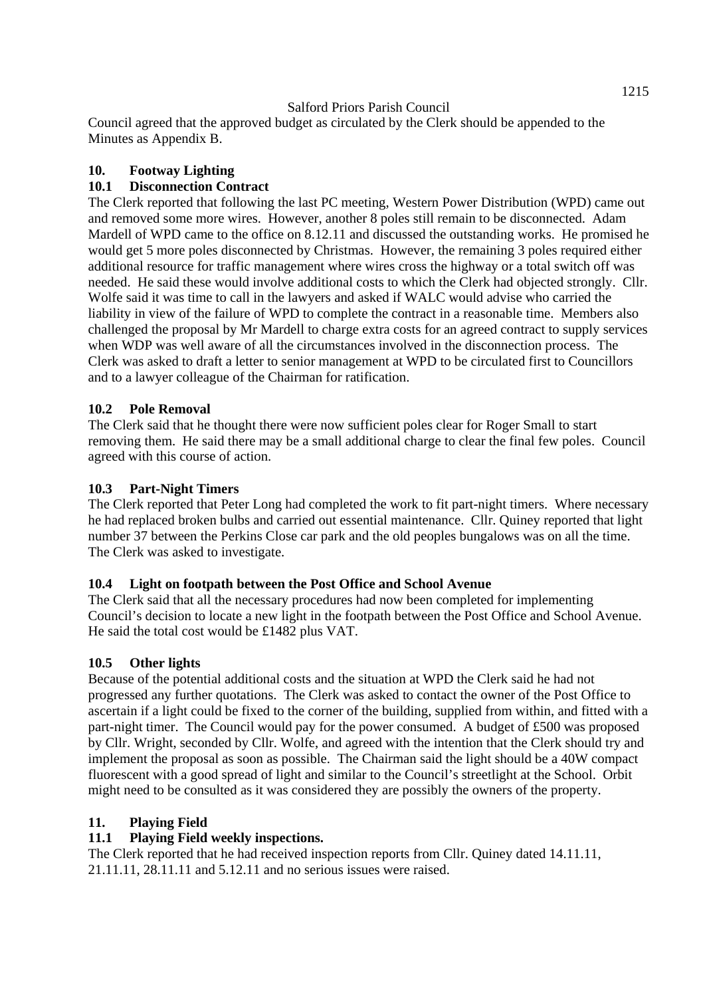Council agreed that the approved budget as circulated by the Clerk should be appended to the Minutes as Appendix B.

### **10. Footway Lighting**

## **10.1 Disconnection Contract**

The Clerk reported that following the last PC meeting, Western Power Distribution (WPD) came out and removed some more wires. However, another 8 poles still remain to be disconnected. Adam Mardell of WPD came to the office on 8.12.11 and discussed the outstanding works. He promised he would get 5 more poles disconnected by Christmas. However, the remaining 3 poles required either additional resource for traffic management where wires cross the highway or a total switch off was needed. He said these would involve additional costs to which the Clerk had objected strongly. Cllr. Wolfe said it was time to call in the lawyers and asked if WALC would advise who carried the liability in view of the failure of WPD to complete the contract in a reasonable time. Members also challenged the proposal by Mr Mardell to charge extra costs for an agreed contract to supply services when WDP was well aware of all the circumstances involved in the disconnection process. The Clerk was asked to draft a letter to senior management at WPD to be circulated first to Councillors and to a lawyer colleague of the Chairman for ratification.

### **10.2 Pole Removal**

The Clerk said that he thought there were now sufficient poles clear for Roger Small to start removing them. He said there may be a small additional charge to clear the final few poles. Council agreed with this course of action.

#### **10.3 Part-Night Timers**

The Clerk reported that Peter Long had completed the work to fit part-night timers. Where necessary he had replaced broken bulbs and carried out essential maintenance. Cllr. Quiney reported that light number 37 between the Perkins Close car park and the old peoples bungalows was on all the time. The Clerk was asked to investigate.

### **10.4 Light on footpath between the Post Office and School Avenue**

The Clerk said that all the necessary procedures had now been completed for implementing Council's decision to locate a new light in the footpath between the Post Office and School Avenue. He said the total cost would be £1482 plus VAT.

### **10.5 Other lights**

Because of the potential additional costs and the situation at WPD the Clerk said he had not progressed any further quotations. The Clerk was asked to contact the owner of the Post Office to ascertain if a light could be fixed to the corner of the building, supplied from within, and fitted with a part-night timer. The Council would pay for the power consumed. A budget of £500 was proposed by Cllr. Wright, seconded by Cllr. Wolfe, and agreed with the intention that the Clerk should try and implement the proposal as soon as possible. The Chairman said the light should be a 40W compact fluorescent with a good spread of light and similar to the Council's streetlight at the School. Orbit might need to be consulted as it was considered they are possibly the owners of the property.

### **11. Playing Field**

### **11.1 Playing Field weekly inspections.**

The Clerk reported that he had received inspection reports from Cllr. Quiney dated 14.11.11, 21.11.11, 28.11.11 and 5.12.11 and no serious issues were raised.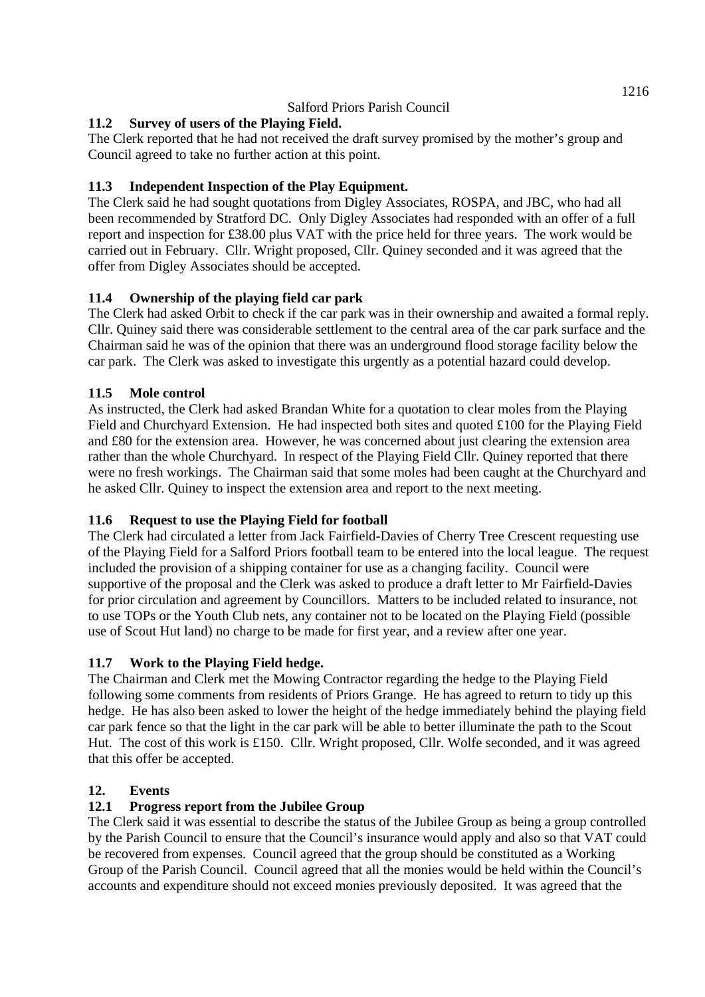# **11.2 Survey of users of the Playing Field.**

The Clerk reported that he had not received the draft survey promised by the mother's group and Council agreed to take no further action at this point.

## **11.3 Independent Inspection of the Play Equipment.**

The Clerk said he had sought quotations from Digley Associates, ROSPA, and JBC, who had all been recommended by Stratford DC. Only Digley Associates had responded with an offer of a full report and inspection for £38.00 plus VAT with the price held for three years. The work would be carried out in February. Cllr. Wright proposed, Cllr. Quiney seconded and it was agreed that the offer from Digley Associates should be accepted.

## **11.4 Ownership of the playing field car park**

The Clerk had asked Orbit to check if the car park was in their ownership and awaited a formal reply. Cllr. Quiney said there was considerable settlement to the central area of the car park surface and the Chairman said he was of the opinion that there was an underground flood storage facility below the car park. The Clerk was asked to investigate this urgently as a potential hazard could develop.

### **11.5 Mole control**

As instructed, the Clerk had asked Brandan White for a quotation to clear moles from the Playing Field and Churchyard Extension. He had inspected both sites and quoted £100 for the Playing Field and £80 for the extension area. However, he was concerned about just clearing the extension area rather than the whole Churchyard. In respect of the Playing Field Cllr. Quiney reported that there were no fresh workings. The Chairman said that some moles had been caught at the Churchyard and he asked Cllr. Quiney to inspect the extension area and report to the next meeting.

### **11.6 Request to use the Playing Field for football**

The Clerk had circulated a letter from Jack Fairfield-Davies of Cherry Tree Crescent requesting use of the Playing Field for a Salford Priors football team to be entered into the local league. The request included the provision of a shipping container for use as a changing facility. Council were supportive of the proposal and the Clerk was asked to produce a draft letter to Mr Fairfield-Davies for prior circulation and agreement by Councillors. Matters to be included related to insurance, not to use TOPs or the Youth Club nets, any container not to be located on the Playing Field (possible use of Scout Hut land) no charge to be made for first year, and a review after one year.

### **11.7 Work to the Playing Field hedge.**

The Chairman and Clerk met the Mowing Contractor regarding the hedge to the Playing Field following some comments from residents of Priors Grange. He has agreed to return to tidy up this hedge. He has also been asked to lower the height of the hedge immediately behind the playing field car park fence so that the light in the car park will be able to better illuminate the path to the Scout Hut. The cost of this work is £150. Cllr. Wright proposed, Cllr. Wolfe seconded, and it was agreed that this offer be accepted.

# **12. Events**

### **12.1 Progress report from the Jubilee Group**

The Clerk said it was essential to describe the status of the Jubilee Group as being a group controlled by the Parish Council to ensure that the Council's insurance would apply and also so that VAT could be recovered from expenses. Council agreed that the group should be constituted as a Working Group of the Parish Council. Council agreed that all the monies would be held within the Council's accounts and expenditure should not exceed monies previously deposited. It was agreed that the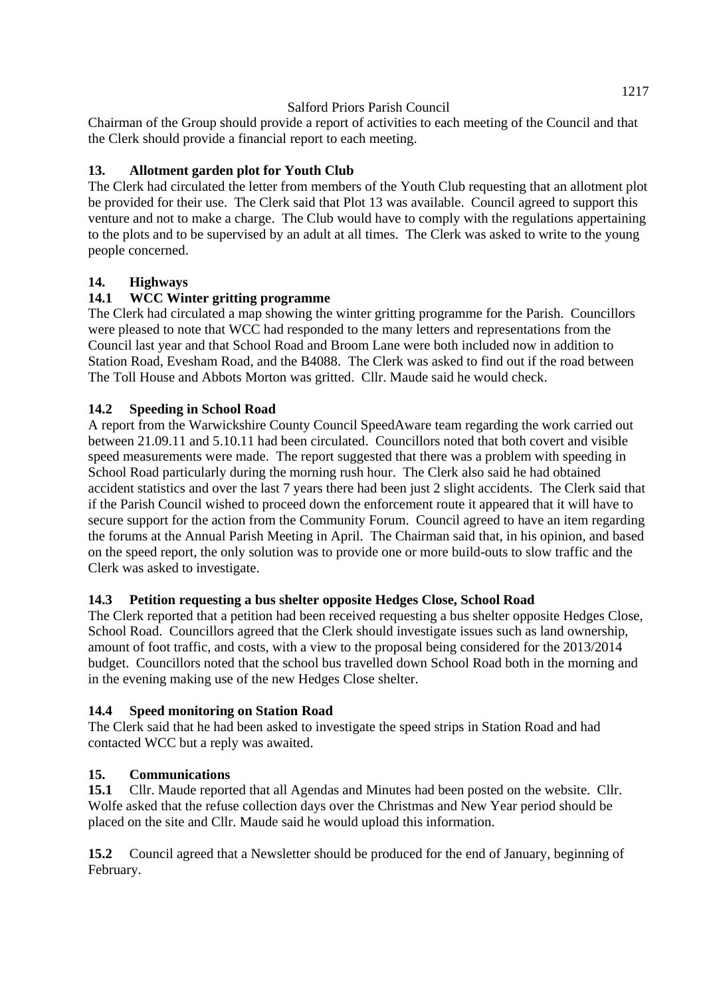Chairman of the Group should provide a report of activities to each meeting of the Council and that the Clerk should provide a financial report to each meeting.

## **13. Allotment garden plot for Youth Club**

The Clerk had circulated the letter from members of the Youth Club requesting that an allotment plot be provided for their use. The Clerk said that Plot 13 was available. Council agreed to support this venture and not to make a charge. The Club would have to comply with the regulations appertaining to the plots and to be supervised by an adult at all times. The Clerk was asked to write to the young people concerned.

### **14. Highways**

### **14.1 WCC Winter gritting programme**

The Clerk had circulated a map showing the winter gritting programme for the Parish. Councillors were pleased to note that WCC had responded to the many letters and representations from the Council last year and that School Road and Broom Lane were both included now in addition to Station Road, Evesham Road, and the B4088. The Clerk was asked to find out if the road between The Toll House and Abbots Morton was gritted. Cllr. Maude said he would check.

#### **14.2 Speeding in School Road**

A report from the Warwickshire County Council SpeedAware team regarding the work carried out between 21.09.11 and 5.10.11 had been circulated. Councillors noted that both covert and visible speed measurements were made. The report suggested that there was a problem with speeding in School Road particularly during the morning rush hour. The Clerk also said he had obtained accident statistics and over the last 7 years there had been just 2 slight accidents. The Clerk said that if the Parish Council wished to proceed down the enforcement route it appeared that it will have to secure support for the action from the Community Forum. Council agreed to have an item regarding the forums at the Annual Parish Meeting in April. The Chairman said that, in his opinion, and based on the speed report, the only solution was to provide one or more build-outs to slow traffic and the Clerk was asked to investigate.

#### **14.3 Petition requesting a bus shelter opposite Hedges Close, School Road**

The Clerk reported that a petition had been received requesting a bus shelter opposite Hedges Close, School Road. Councillors agreed that the Clerk should investigate issues such as land ownership, amount of foot traffic, and costs, with a view to the proposal being considered for the 2013/2014 budget. Councillors noted that the school bus travelled down School Road both in the morning and in the evening making use of the new Hedges Close shelter.

#### **14.4 Speed monitoring on Station Road**

The Clerk said that he had been asked to investigate the speed strips in Station Road and had contacted WCC but a reply was awaited.

#### **15. Communications**

**15.1** Cllr. Maude reported that all Agendas and Minutes had been posted on the website. Cllr. Wolfe asked that the refuse collection days over the Christmas and New Year period should be placed on the site and Cllr. Maude said he would upload this information.

**15.2** Council agreed that a Newsletter should be produced for the end of January, beginning of February.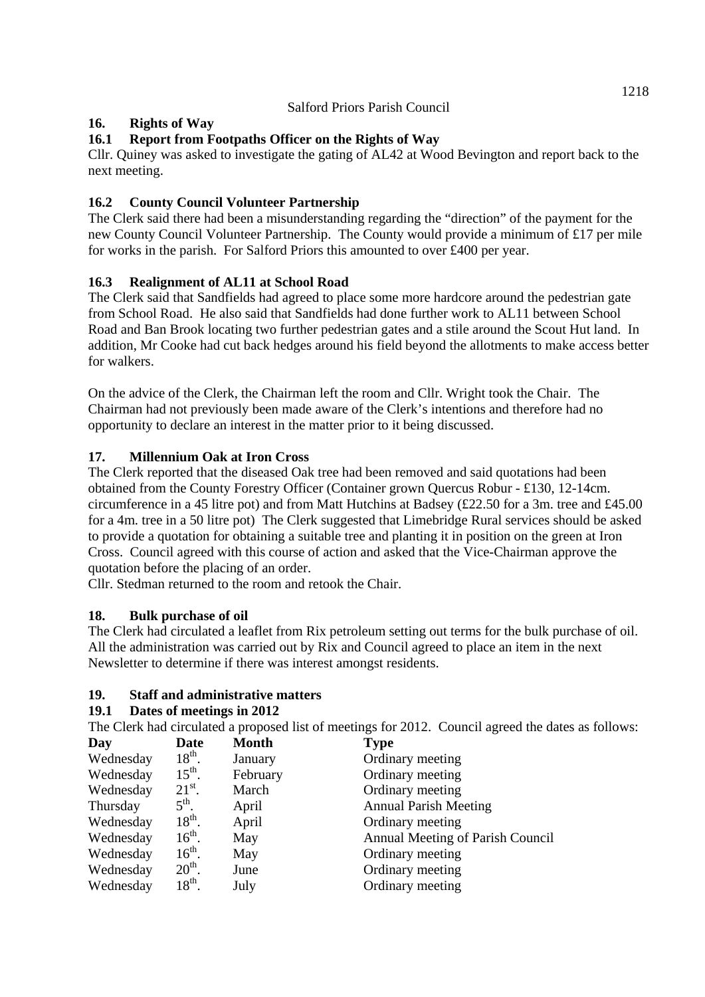# **16. Rights of Way**

## **16.1 Report from Footpaths Officer on the Rights of Way**

Cllr. Quiney was asked to investigate the gating of AL42 at Wood Bevington and report back to the next meeting.

## **16.2 County Council Volunteer Partnership**

The Clerk said there had been a misunderstanding regarding the "direction" of the payment for the new County Council Volunteer Partnership. The County would provide a minimum of £17 per mile for works in the parish. For Salford Priors this amounted to over £400 per year.

## **16.3 Realignment of AL11 at School Road**

The Clerk said that Sandfields had agreed to place some more hardcore around the pedestrian gate from School Road. He also said that Sandfields had done further work to AL11 between School Road and Ban Brook locating two further pedestrian gates and a stile around the Scout Hut land. In addition, Mr Cooke had cut back hedges around his field beyond the allotments to make access better for walkers.

On the advice of the Clerk, the Chairman left the room and Cllr. Wright took the Chair. The Chairman had not previously been made aware of the Clerk's intentions and therefore had no opportunity to declare an interest in the matter prior to it being discussed.

## **17. Millennium Oak at Iron Cross**

The Clerk reported that the diseased Oak tree had been removed and said quotations had been obtained from the County Forestry Officer (Container grown Quercus Robur - £130, 12-14cm. circumference in a 45 litre pot) and from Matt Hutchins at Badsey (£22.50 for a 3m. tree and £45.00 for a 4m. tree in a 50 litre pot) The Clerk suggested that Limebridge Rural services should be asked to provide a quotation for obtaining a suitable tree and planting it in position on the green at Iron Cross. Council agreed with this course of action and asked that the Vice-Chairman approve the quotation before the placing of an order.

Cllr. Stedman returned to the room and retook the Chair.

### **18. Bulk purchase of oil**

The Clerk had circulated a leaflet from Rix petroleum setting out terms for the bulk purchase of oil. All the administration was carried out by Rix and Council agreed to place an item in the next Newsletter to determine if there was interest amongst residents.

### **19. Staff and administrative matters**

### **19.1 Dates of meetings in 2012**

The Clerk had circulated a proposed list of meetings for 2012. Council agreed the dates as follows:

| Day       | <b>Date</b>        | <b>Month</b> | <b>Type</b>                      |
|-----------|--------------------|--------------|----------------------------------|
| Wednesday | $18^{th}$ .        | January      | Ordinary meeting                 |
| Wednesday | $15^{\text{th}}$ . | February     | Ordinary meeting                 |
| Wednesday | $21^{st}$ .        | March        | Ordinary meeting                 |
| Thursday  | $5^{\text{th}}$ .  | April        | <b>Annual Parish Meeting</b>     |
| Wednesday | $18^{th}$ .        | April        | Ordinary meeting                 |
| Wednesday | $16^{th}$ .        | May          | Annual Meeting of Parish Council |
| Wednesday | $16^{th}$ .        | May          | Ordinary meeting                 |
| Wednesday | $20th$ .           | June         | Ordinary meeting                 |
| Wednesday | $18^{th}$ .        | July         | Ordinary meeting                 |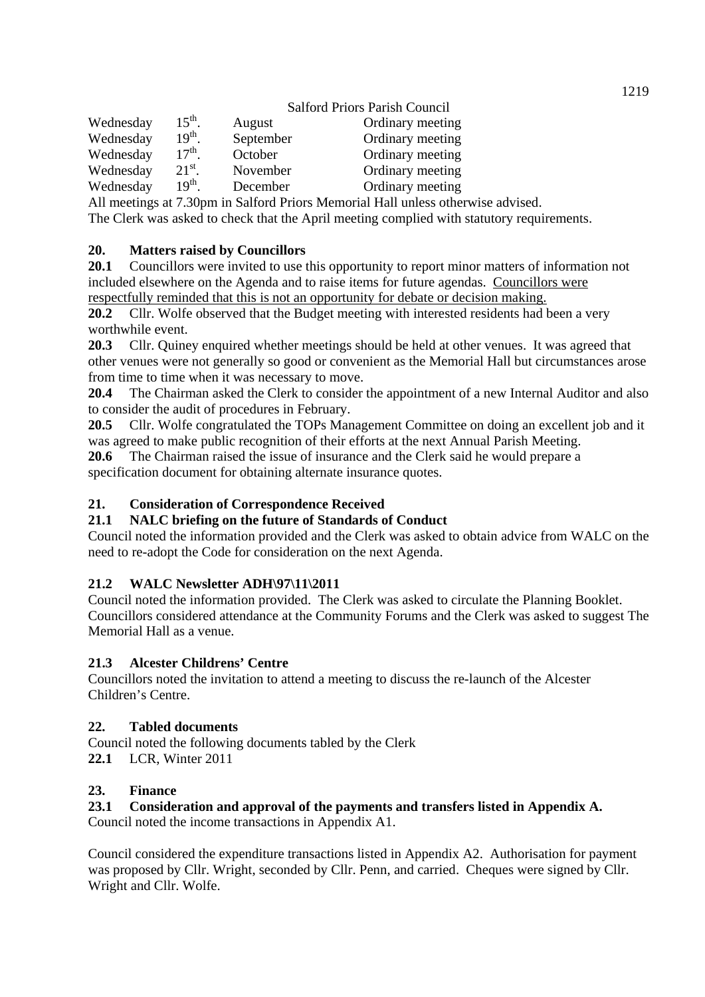|           |                    | <b>Salford Priors Parish Council</b> |                  |  |
|-----------|--------------------|--------------------------------------|------------------|--|
| Wednesday | $15^{\text{th}}$ . | August                               | Ordinary meeting |  |
| Wednesday | 19 <sup>th</sup>   | September                            | Ordinary meeting |  |
| Wednesday | $17th$ .           | October                              | Ordinary meeting |  |
| Wednesday | $21^{st}$ .        | November                             | Ordinary meeting |  |
| Wednesday | $19^{th}$ .        | December                             | Ordinary meeting |  |

All meetings at 7.30pm in Salford Priors Memorial Hall unless otherwise advised.

The Clerk was asked to check that the April meeting complied with statutory requirements.

#### **20. Matters raised by Councillors**

**20.1** Councillors were invited to use this opportunity to report minor matters of information not included elsewhere on the Agenda and to raise items for future agendas. Councillors were respectfully reminded that this is not an opportunity for debate or decision making.

**20.2** Cllr. Wolfe observed that the Budget meeting with interested residents had been a very worthwhile event.

**20.3** Cllr. Quiney enquired whether meetings should be held at other venues. It was agreed that other venues were not generally so good or convenient as the Memorial Hall but circumstances arose from time to time when it was necessary to move.

**20.4** The Chairman asked the Clerk to consider the appointment of a new Internal Auditor and also to consider the audit of procedures in February.

**20.5** Cllr. Wolfe congratulated the TOPs Management Committee on doing an excellent job and it was agreed to make public recognition of their efforts at the next Annual Parish Meeting.

**20.6** The Chairman raised the issue of insurance and the Clerk said he would prepare a specification document for obtaining alternate insurance quotes.

#### **21. Consideration of Correspondence Received**

#### **21.1 NALC briefing on the future of Standards of Conduct**

Council noted the information provided and the Clerk was asked to obtain advice from WALC on the need to re-adopt the Code for consideration on the next Agenda.

### **21.2 WALC Newsletter ADH\97\11\2011**

Council noted the information provided. The Clerk was asked to circulate the Planning Booklet. Councillors considered attendance at the Community Forums and the Clerk was asked to suggest The Memorial Hall as a venue.

#### **21.3 Alcester Childrens' Centre**

Councillors noted the invitation to attend a meeting to discuss the re-launch of the Alcester Children's Centre.

#### **22. Tabled documents**

Council noted the following documents tabled by the Clerk

**22.1** LCR, Winter 2011

#### **23. Finance**

#### **23.1 Consideration and approval of the payments and transfers listed in Appendix A.**

Council noted the income transactions in Appendix A1.

Council considered the expenditure transactions listed in Appendix A2. Authorisation for payment was proposed by Cllr. Wright, seconded by Cllr. Penn, and carried. Cheques were signed by Cllr. Wright and Cllr. Wolfe.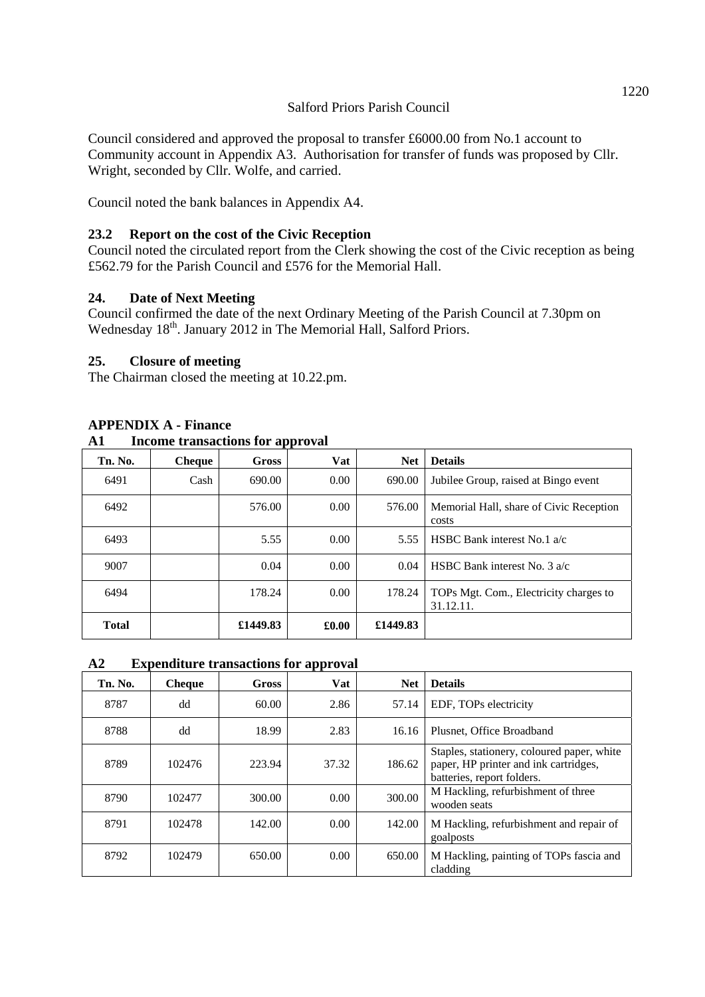Council considered and approved the proposal to transfer £6000.00 from No.1 account to Community account in Appendix A3. Authorisation for transfer of funds was proposed by Cllr. Wright, seconded by Cllr. Wolfe, and carried.

Council noted the bank balances in Appendix A4.

### **23.2 Report on the cost of the Civic Reception**

Council noted the circulated report from the Clerk showing the cost of the Civic reception as being £562.79 for the Parish Council and £576 for the Memorial Hall.

### **24. Date of Next Meeting**

Council confirmed the date of the next Ordinary Meeting of the Parish Council at 7.30pm on Wednesday 18<sup>th</sup>. January 2012 in The Memorial Hall, Salford Priors.

#### **25. Closure of meeting**

The Chairman closed the meeting at 10.22.pm.

| Aі<br>Income u ansacuons for approval |               |          |       |            |                                                     |
|---------------------------------------|---------------|----------|-------|------------|-----------------------------------------------------|
| Tn. No.                               | <b>Cheque</b> | Gross    | Vat   | <b>Net</b> | <b>Details</b>                                      |
| 6491                                  | Cash          | 690.00   | 0.00  | 690.00     | Jubilee Group, raised at Bingo event                |
| 6492                                  |               | 576.00   | 0.00  | 576.00     | Memorial Hall, share of Civic Reception<br>costs    |
| 6493                                  |               | 5.55     | 0.00  | 5.55       | HSBC Bank interest No.1 $a/c$                       |
| 9007                                  |               | 0.04     | 0.00  | 0.04       | HSBC Bank interest No. $3 a/c$                      |
| 6494                                  |               | 178.24   | 0.00  | 178.24     | TOPs Mgt. Com., Electricity charges to<br>31.12.11. |
| <b>Total</b>                          |               | £1449.83 | £0.00 | £1449.83   |                                                     |

#### **APPENDIX A - Finance**

### **A1 Income transactions for approval**

#### **A2 Expenditure transactions for approval**

| Tn. No. | <b>Cheque</b> | <b>Gross</b> | Vat   | <b>Net</b> | <b>Details</b>                                                                                                    |  |
|---------|---------------|--------------|-------|------------|-------------------------------------------------------------------------------------------------------------------|--|
| 8787    | dd            | 60.00        | 2.86  | 57.14      | EDF, TOPs electricity                                                                                             |  |
| 8788    | dd            | 18.99        | 2.83  | 16.16      | Plusnet, Office Broadband                                                                                         |  |
| 8789    | 102476        | 223.94       | 37.32 | 186.62     | Staples, stationery, coloured paper, white<br>paper, HP printer and ink cartridges,<br>batteries, report folders. |  |
| 8790    | 102477        | 300.00       | 0.00  | 300.00     | M Hackling, refurbishment of three<br>wooden seats                                                                |  |
| 8791    | 102478        | 142.00       | 0.00  | 142.00     | M Hackling, refurbishment and repair of<br>goalposts                                                              |  |
| 8792    | 102479        | 650.00       | 0.00  | 650.00     | M Hackling, painting of TOPs fascia and<br>cladding                                                               |  |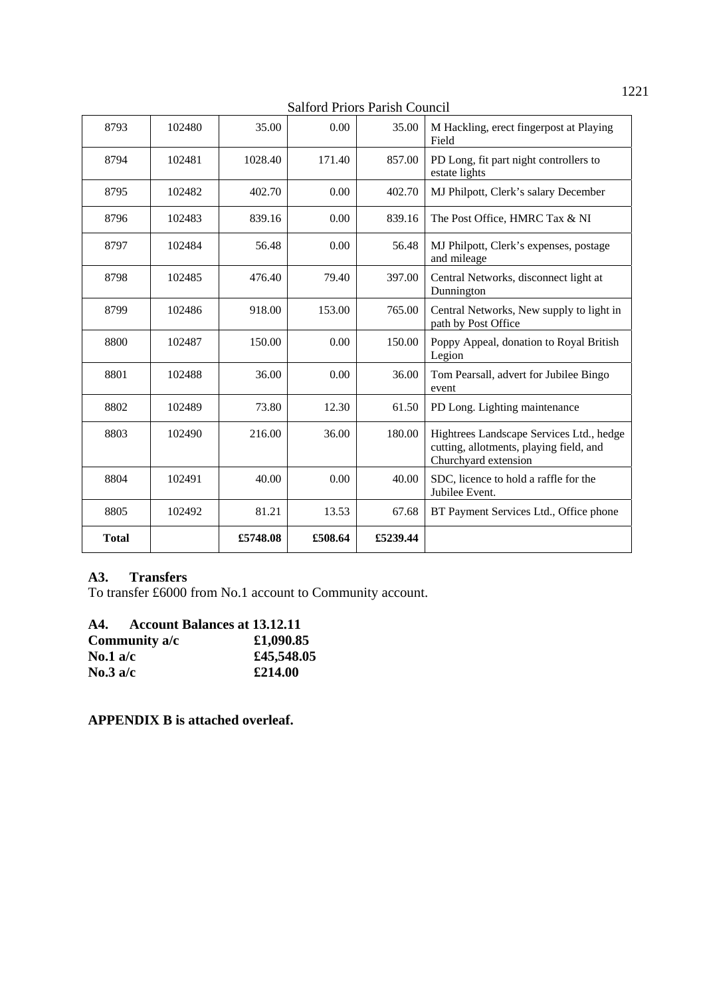Salford Priors Parish Council

| 8793         | 102480 | 35.00    | 0.00    | 35.00    | M Hackling, erect fingerpost at Playing<br>Field                                                            |  |
|--------------|--------|----------|---------|----------|-------------------------------------------------------------------------------------------------------------|--|
| 8794         | 102481 | 1028.40  | 171.40  | 857.00   | PD Long, fit part night controllers to<br>estate lights                                                     |  |
| 8795         | 102482 | 402.70   | 0.00    | 402.70   | MJ Philpott, Clerk's salary December                                                                        |  |
| 8796         | 102483 | 839.16   | 0.00    | 839.16   | The Post Office, HMRC Tax & NI                                                                              |  |
| 8797         | 102484 | 56.48    | 0.00    | 56.48    | MJ Philpott, Clerk's expenses, postage<br>and mileage                                                       |  |
| 8798         | 102485 | 476.40   | 79.40   | 397.00   | Central Networks, disconnect light at<br>Dunnington                                                         |  |
| 8799         | 102486 | 918.00   | 153.00  | 765.00   | Central Networks, New supply to light in<br>path by Post Office                                             |  |
| 8800         | 102487 | 150.00   | 0.00    | 150.00   | Poppy Appeal, donation to Royal British<br>Legion                                                           |  |
| 8801         | 102488 | 36.00    | 0.00    | 36.00    | Tom Pearsall, advert for Jubilee Bingo<br>event                                                             |  |
| 8802         | 102489 | 73.80    | 12.30   | 61.50    | PD Long. Lighting maintenance                                                                               |  |
| 8803         | 102490 | 216.00   | 36.00   | 180.00   | Hightrees Landscape Services Ltd., hedge<br>cutting, allotments, playing field, and<br>Churchyard extension |  |
| 8804         | 102491 | 40.00    | 0.00    | 40.00    | SDC, licence to hold a raffle for the<br>Jubilee Event.                                                     |  |
| 8805         | 102492 | 81.21    | 13.53   | 67.68    | BT Payment Services Ltd., Office phone                                                                      |  |
| <b>Total</b> |        | £5748.08 | £508.64 | £5239.44 |                                                                                                             |  |

### **A3. Transfers**

To transfer £6000 from No.1 account to Community account.

| A4.        | <b>Account Balances at 13.12.11</b> |            |
|------------|-------------------------------------|------------|
|            | Community a/c                       | £1,090.85  |
| No.1 $a/c$ |                                     | £45,548.05 |
| No.3 $a/c$ |                                     | £214.00    |

**APPENDIX B is attached overleaf.**